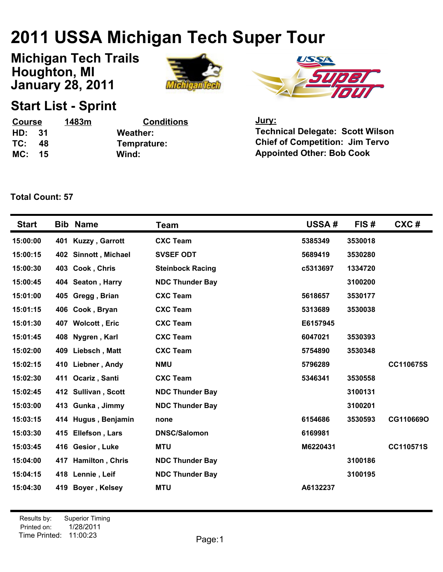## **2011 USSA Michigan Tech Super Tour**

**January 28, 2011 Michigan Tech Trails Houghton, MI**





## **Start List - Sprint**

| Course |      | 1483m | <b>Conditions</b> | <u>Jury:</u>                            |
|--------|------|-------|-------------------|-----------------------------------------|
| HD:    | - 31 |       | Weather:          | <b>Technical Delegate: Scott Wilson</b> |
| TC:    | -48  |       | Temprature:       | <b>Chief of Competition: Jim Tervo</b>  |
| MC: 15 |      |       | Wind:             | <b>Appointed Other: Bob Cook</b>        |

**Total Count: 57**

| <b>Start</b> |     | <b>Bib Name</b>       | Team                    | <b>USSA#</b> | FIS#    | CXC#             |
|--------------|-----|-----------------------|-------------------------|--------------|---------|------------------|
| 15:00:00     | 401 | <b>Kuzzy, Garrott</b> | <b>CXC Team</b>         | 5385349      | 3530018 |                  |
| 15:00:15     |     | 402 Sinnott, Michael  | <b>SVSEF ODT</b>        | 5689419      | 3530280 |                  |
| 15:00:30     |     | 403 Cook, Chris       | <b>Steinbock Racing</b> | c5313697     | 1334720 |                  |
| 15:00:45     |     | 404 Seaton, Harry     | <b>NDC Thunder Bay</b>  |              | 3100200 |                  |
| 15:01:00     |     | 405 Gregg, Brian      | <b>CXC Team</b>         | 5618657      | 3530177 |                  |
| 15:01:15     |     | 406 Cook, Bryan       | <b>CXC Team</b>         | 5313689      | 3530038 |                  |
| 15:01:30     |     | 407 Wolcott, Eric     | <b>CXC Team</b>         | E6157945     |         |                  |
| 15:01:45     |     | 408 Nygren, Karl      | <b>CXC Team</b>         | 6047021      | 3530393 |                  |
| 15:02:00     |     | 409 Liebsch, Matt     | <b>CXC Team</b>         | 5754890      | 3530348 |                  |
| 15:02:15     |     | 410 Liebner, Andy     | <b>NMU</b>              | 5796289      |         | <b>CC110675S</b> |
| 15:02:30     |     | 411 Ocariz, Santi     | <b>CXC Team</b>         | 5346341      | 3530558 |                  |
| 15:02:45     |     | 412 Sullivan, Scott   | <b>NDC Thunder Bay</b>  |              | 3100131 |                  |
| 15:03:00     |     | 413 Gunka, Jimmy      | <b>NDC Thunder Bay</b>  |              | 3100201 |                  |
| 15:03:15     |     | 414 Hugus, Benjamin   | none                    | 6154686      | 3530593 | CG110669O        |
| 15:03:30     |     | 415 Ellefson, Lars    | <b>DNSC/Salomon</b>     | 6169981      |         |                  |
| 15:03:45     |     | 416 Gesior, Luke      | <b>MTU</b>              | M6220431     |         | CC110571S        |
| 15:04:00     |     | 417 Hamilton, Chris   | <b>NDC Thunder Bay</b>  |              | 3100186 |                  |
| 15:04:15     |     | 418 Lennie, Leif      | <b>NDC Thunder Bay</b>  |              | 3100195 |                  |
| 15:04:30     |     | 419 Boyer, Kelsey     | <b>MTU</b>              | A6132237     |         |                  |

Printed on: Time Printed: 11:00:23 Results by: Superior Timing 1/28/2011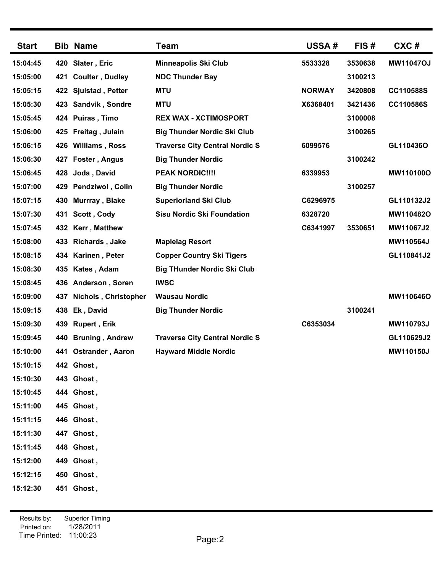| <b>Start</b> |     | <b>Bib Name</b>         | <b>Team</b>                           | <b>USSA#</b>  | FIS#    | CXC#             |
|--------------|-----|-------------------------|---------------------------------------|---------------|---------|------------------|
| 15:04:45     | 420 | Slater, Eric            | <b>Minneapolis Ski Club</b>           | 5533328       | 3530638 | <b>MW11047OJ</b> |
| 15:05:00     | 421 | <b>Coulter, Dudley</b>  | <b>NDC Thunder Bay</b>                |               | 3100213 |                  |
| 15:05:15     |     | 422 Sjulstad, Petter    | <b>MTU</b>                            | <b>NORWAY</b> | 3420808 | CC110588S        |
| 15:05:30     |     | 423 Sandvik, Sondre     | <b>MTU</b>                            | X6368401      | 3421436 | CC110586S        |
| 15:05:45     |     | 424 Puiras, Timo        | <b>REX WAX - XCTIMOSPORT</b>          |               | 3100008 |                  |
| 15:06:00     |     | 425 Freitag, Julain     | <b>Big Thunder Nordic Ski Club</b>    |               | 3100265 |                  |
| 15:06:15     | 426 | <b>Williams, Ross</b>   | <b>Traverse City Central Nordic S</b> | 6099576       |         | GL110436O        |
| 15:06:30     | 427 | Foster, Angus           | <b>Big Thunder Nordic</b>             |               | 3100242 |                  |
| 15:06:45     | 428 | Joda, David             | <b>PEAK NORDIC!!!!</b>                | 6339953       |         | MW110100O        |
| 15:07:00     |     | 429 Pendziwol, Colin    | <b>Big Thunder Nordic</b>             |               | 3100257 |                  |
| 15:07:15     | 430 | Murrray, Blake          | <b>Superiorland Ski Club</b>          | C6296975      |         | GL110132J2       |
| 15:07:30     | 431 | Scott, Cody             | <b>Sisu Nordic Ski Foundation</b>     | 6328720       |         | MW110482O        |
| 15:07:45     | 432 | Kerr, Matthew           |                                       | C6341997      | 3530651 | MW11067J2        |
| 15:08:00     | 433 | <b>Richards, Jake</b>   | <b>Maplelag Resort</b>                |               |         | MW110564J        |
| 15:08:15     |     | 434 Karinen, Peter      | <b>Copper Country Ski Tigers</b>      |               |         | GL110841J2       |
| 15:08:30     | 435 | Kates, Adam             | <b>Big THunder Nordic Ski Club</b>    |               |         |                  |
| 15:08:45     |     | 436 Anderson, Soren     | <b>IWSC</b>                           |               |         |                  |
| 15:09:00     | 437 | Nichols, Christopher    | <b>Wausau Nordic</b>                  |               |         | MW110646O        |
| 15:09:15     | 438 | Ek, David               | <b>Big Thunder Nordic</b>             |               | 3100241 |                  |
| 15:09:30     | 439 | <b>Rupert, Erik</b>     |                                       | C6353034      |         | MW110793J        |
| 15:09:45     | 440 | <b>Bruning, Andrew</b>  | <b>Traverse City Central Nordic S</b> |               |         | GL110629J2       |
| 15:10:00     | 441 | <b>Ostrander, Aaron</b> | <b>Hayward Middle Nordic</b>          |               |         | MW110150J        |
| 15:10:15     |     | 442 Ghost,              |                                       |               |         |                  |
| 15:10:30     |     | 443 Ghost,              |                                       |               |         |                  |
| 15:10:45     |     | 444 Ghost,              |                                       |               |         |                  |
| 15:11:00     |     | 445 Ghost,              |                                       |               |         |                  |
| 15:11:15     |     | 446 Ghost,              |                                       |               |         |                  |
| 15:11:30     |     | 447 Ghost,              |                                       |               |         |                  |
| 15:11:45     |     | 448 Ghost,              |                                       |               |         |                  |
| 15:12:00     |     | 449 Ghost,              |                                       |               |         |                  |
| 15:12:15     |     | 450 Ghost,              |                                       |               |         |                  |
| 15:12:30     |     | 451 Ghost,              |                                       |               |         |                  |
|              |     |                         |                                       |               |         |                  |